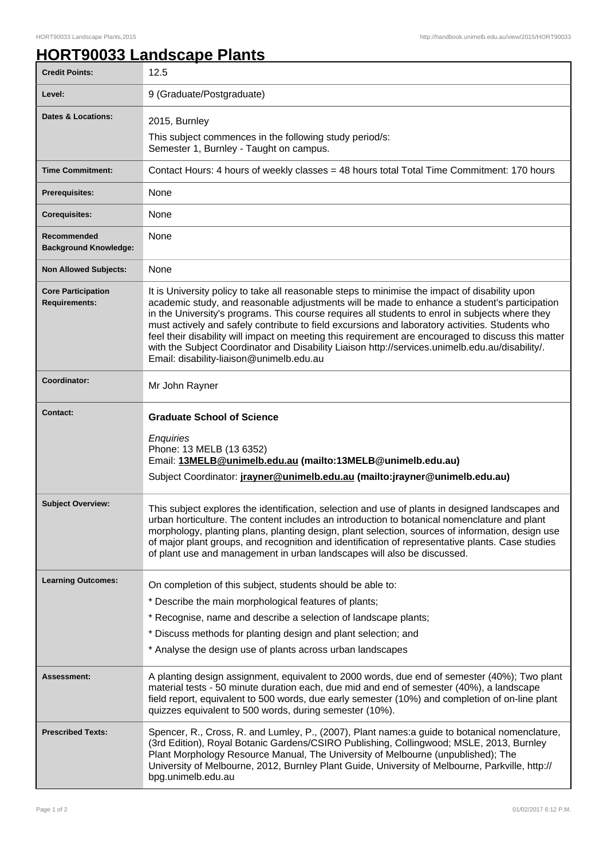## **HORT90033 Landscape Plants**

| <b>Credit Points:</b>                             | 12.5                                                                                                                                                                                                                                                                                                                                                                                                                                                                                                                                                                                                                                                       |
|---------------------------------------------------|------------------------------------------------------------------------------------------------------------------------------------------------------------------------------------------------------------------------------------------------------------------------------------------------------------------------------------------------------------------------------------------------------------------------------------------------------------------------------------------------------------------------------------------------------------------------------------------------------------------------------------------------------------|
| Level:                                            | 9 (Graduate/Postgraduate)                                                                                                                                                                                                                                                                                                                                                                                                                                                                                                                                                                                                                                  |
| <b>Dates &amp; Locations:</b>                     | 2015, Burnley                                                                                                                                                                                                                                                                                                                                                                                                                                                                                                                                                                                                                                              |
|                                                   | This subject commences in the following study period/s:<br>Semester 1, Burnley - Taught on campus.                                                                                                                                                                                                                                                                                                                                                                                                                                                                                                                                                         |
| <b>Time Commitment:</b>                           | Contact Hours: 4 hours of weekly classes = 48 hours total Total Time Commitment: 170 hours                                                                                                                                                                                                                                                                                                                                                                                                                                                                                                                                                                 |
| <b>Prerequisites:</b>                             | None                                                                                                                                                                                                                                                                                                                                                                                                                                                                                                                                                                                                                                                       |
| <b>Corequisites:</b>                              | None                                                                                                                                                                                                                                                                                                                                                                                                                                                                                                                                                                                                                                                       |
| Recommended<br><b>Background Knowledge:</b>       | None                                                                                                                                                                                                                                                                                                                                                                                                                                                                                                                                                                                                                                                       |
| <b>Non Allowed Subjects:</b>                      | None                                                                                                                                                                                                                                                                                                                                                                                                                                                                                                                                                                                                                                                       |
| <b>Core Participation</b><br><b>Requirements:</b> | It is University policy to take all reasonable steps to minimise the impact of disability upon<br>academic study, and reasonable adjustments will be made to enhance a student's participation<br>in the University's programs. This course requires all students to enrol in subjects where they<br>must actively and safely contribute to field excursions and laboratory activities. Students who<br>feel their disability will impact on meeting this requirement are encouraged to discuss this matter<br>with the Subject Coordinator and Disability Liaison http://services.unimelb.edu.au/disability/.<br>Email: disability-liaison@unimelb.edu.au |
| Coordinator:                                      | Mr John Rayner                                                                                                                                                                                                                                                                                                                                                                                                                                                                                                                                                                                                                                             |
| <b>Contact:</b>                                   | <b>Graduate School of Science</b><br>Enquiries<br>Phone: 13 MELB (13 6352)<br>Email: 13MELB@unimelb.edu.au (mailto:13MELB@unimelb.edu.au)<br>Subject Coordinator: jrayner@unimelb.edu.au (mailto: jrayner@unimelb.edu.au)                                                                                                                                                                                                                                                                                                                                                                                                                                  |
| <b>Subject Overview:</b>                          | This subject explores the identification, selection and use of plants in designed landscapes and<br>urban horticulture. The content includes an introduction to botanical nomenclature and plant<br>morphology, planting plans, planting design, plant selection, sources of information, design use<br>of major plant groups, and recognition and identification of representative plants. Case studies<br>of plant use and management in urban landscapes will also be discussed.                                                                                                                                                                        |
| <b>Learning Outcomes:</b>                         | On completion of this subject, students should be able to:<br>* Describe the main morphological features of plants;<br>* Recognise, name and describe a selection of landscape plants;<br>* Discuss methods for planting design and plant selection; and<br>* Analyse the design use of plants across urban landscapes                                                                                                                                                                                                                                                                                                                                     |
| Assessment:                                       | A planting design assignment, equivalent to 2000 words, due end of semester (40%); Two plant<br>material tests - 50 minute duration each, due mid and end of semester (40%), a landscape<br>field report, equivalent to 500 words, due early semester (10%) and completion of on-line plant<br>quizzes equivalent to 500 words, during semester (10%).                                                                                                                                                                                                                                                                                                     |
| <b>Prescribed Texts:</b>                          | Spencer, R., Cross, R. and Lumley, P., (2007), Plant names: a guide to botanical nomenclature,<br>(3rd Edition), Royal Botanic Gardens/CSIRO Publishing, Collingwood; MSLE, 2013, Burnley<br>Plant Morphology Resource Manual, The University of Melbourne (unpublished); The<br>University of Melbourne, 2012, Burnley Plant Guide, University of Melbourne, Parkville, http://<br>bpg.unimelb.edu.au                                                                                                                                                                                                                                                     |